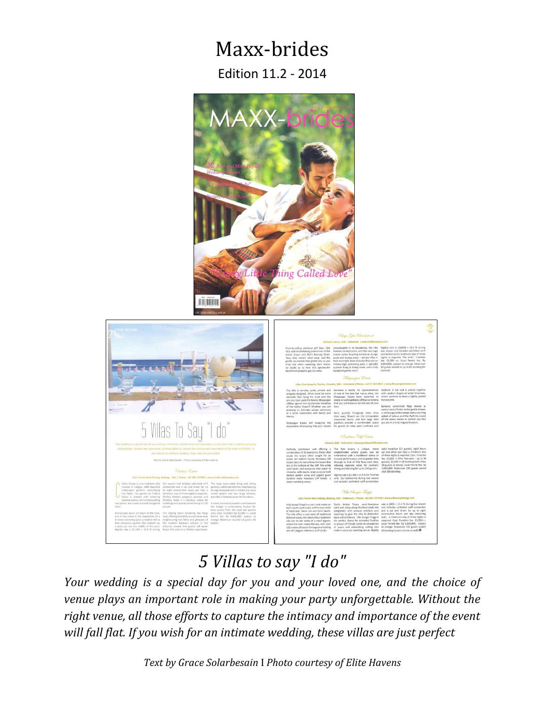# Maxx-brides

Edition 11.2 - 2014





# *5 Villas to say "I do"*

*Your wedding is a special day for you and your loved one, and the choice of venue plays an important role in making your party unforgettable. Without the right venue, all those efforts to capture the intimacy and importance of the event will fall flat. If you wish for an intimate wedding, these villas are just perfect*

*Text by Grace Solarbesain* I *Photo courtesy of Elite Havens*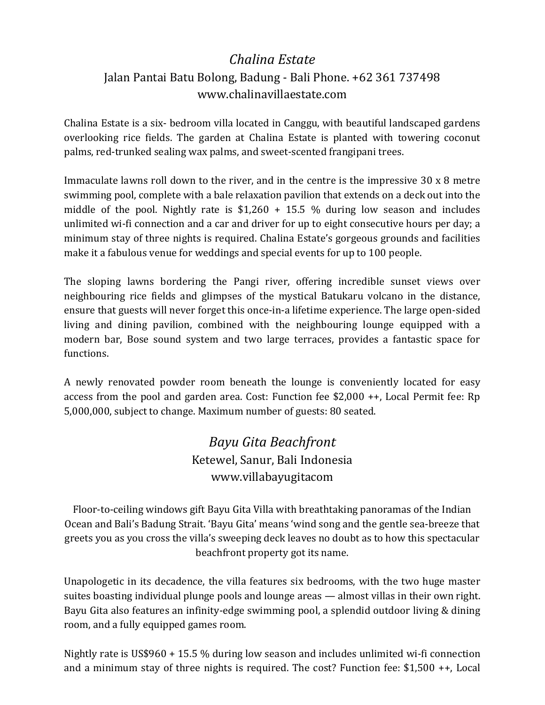## *Chalina Estate* Jalan Pantai Batu Bolong, Badung - Bali Phone. +62 361 737498 [www.chalinavillaestate.com](http://www.chalinavillaestate.com/)

Chalina Estate is a six- bedroom villa located in Canggu, with beautiful landscaped gardens overlooking rice fields. The garden at Chalina Estate is planted with towering coconut palms, red-trunked sealing wax palms, and sweet-scented frangipani trees.

Immaculate lawns roll down to the river, and in the centre is the impressive 30 x 8 metre swimming pool, complete with a bale relaxation pavilion that extends on a deck out into the middle of the pool. Nightly rate is \$1,260 + 15.5 % during low season and includes unlimited wi-fi connection and a car and driver for up to eight consecutive hours per day; a minimum stay of three nights is required. Chalina Estate's gorgeous grounds and facilities make it a fabulous venue for weddings and special events for up to 100 people.

The sloping lawns bordering the Pangi river, offering incredible sunset views over neighbouring rice fields and glimpses of the mystical Batukaru volcano in the distance, ensure that guests will never forget this once-in-a lifetime experience. The large open-sided living and dining pavilion, combined with the neighbouring lounge equipped with a modern bar, Bose sound system and two large terraces, provides a fantastic space for functions.

A newly renovated powder room beneath the lounge is conveniently located for easy access from the pool and garden area. Cost: Function fee \$2,000 ++, Local Permit fee: Rp 5,000,000, subject to change. Maximum number of guests: 80 seated.

## *Bayu Gita Beachfront* Ketewel, Sanur, Bali Indonesia [www.villabayugitacom](http://www.villabayugitacom/)

Floor-to-ceiling windows gift Bayu Gita Villa with breathtaking panoramas of the Indian Ocean and Bali's Badung Strait. 'Bayu Gita' means 'wind song and the gentle sea-breeze that greets you as you cross the villa's sweeping deck leaves no doubt as to how this spectacular beachfront property got its name.

Unapologetic in its decadence, the villa features six bedrooms, with the two huge master suites boasting individual plunge pools and lounge areas — almost villas in their own right. Bayu Gita also features an infinity-edge swimming pool, a splendid outdoor living & dining room, and a fully equipped games room.

Nightly rate is US\$960 + 15.5 % during low season and includes unlimited wi-fi connection and a minimum stay of three nights is required. The cost? Function fee: \$1,500 ++, Local